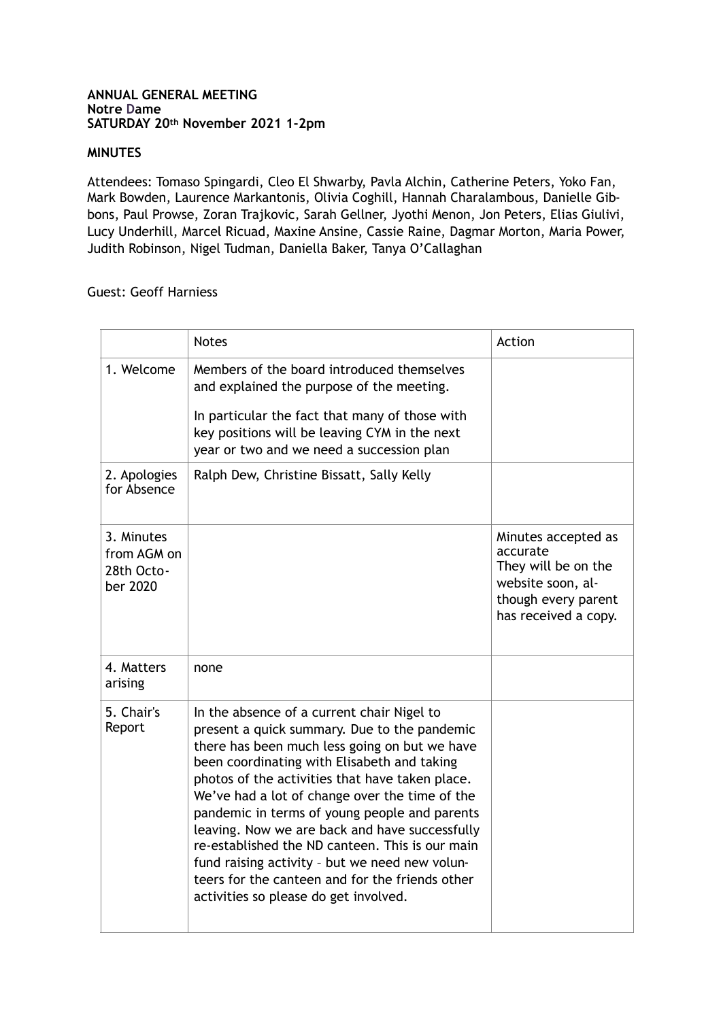## **ANNUAL GENERAL MEETING Notre Dame SATURDAY 20th November 2021 1-2pm**

## **MINUTES**

Attendees: Tomaso Spingardi, Cleo El Shwarby, Pavla Alchin, Catherine Peters, Yoko Fan, Mark Bowden, Laurence Markantonis, Olivia Coghill, Hannah Charalambous, Danielle Gibbons, Paul Prowse, Zoran Trajkovic, Sarah Gellner, Jyothi Menon, Jon Peters, Elias Giulivi, Lucy Underhill, Marcel Ricuad, Maxine Ansine, Cassie Raine, Dagmar Morton, Maria Power, Judith Robinson, Nigel Tudman, Daniella Baker, Tanya O'Callaghan

## Guest: Geoff Harniess

|                                                     | <b>Notes</b>                                                                                                                                                                                                                                                                                                                                                                                                                                                                                                                                                                                        | Action                                                                                                                     |
|-----------------------------------------------------|-----------------------------------------------------------------------------------------------------------------------------------------------------------------------------------------------------------------------------------------------------------------------------------------------------------------------------------------------------------------------------------------------------------------------------------------------------------------------------------------------------------------------------------------------------------------------------------------------------|----------------------------------------------------------------------------------------------------------------------------|
| 1. Welcome                                          | Members of the board introduced themselves<br>and explained the purpose of the meeting.<br>In particular the fact that many of those with<br>key positions will be leaving CYM in the next<br>year or two and we need a succession plan                                                                                                                                                                                                                                                                                                                                                             |                                                                                                                            |
| 2. Apologies<br>for Absence                         | Ralph Dew, Christine Bissatt, Sally Kelly                                                                                                                                                                                                                                                                                                                                                                                                                                                                                                                                                           |                                                                                                                            |
| 3. Minutes<br>from AGM on<br>28th Octo-<br>ber 2020 |                                                                                                                                                                                                                                                                                                                                                                                                                                                                                                                                                                                                     | Minutes accepted as<br>accurate<br>They will be on the<br>website soon, al-<br>though every parent<br>has received a copy. |
| 4. Matters<br>arising                               | none                                                                                                                                                                                                                                                                                                                                                                                                                                                                                                                                                                                                |                                                                                                                            |
| 5. Chair's<br>Report                                | In the absence of a current chair Nigel to<br>present a quick summary. Due to the pandemic<br>there has been much less going on but we have<br>been coordinating with Elisabeth and taking<br>photos of the activities that have taken place.<br>We've had a lot of change over the time of the<br>pandemic in terms of young people and parents<br>leaving. Now we are back and have successfully<br>re-established the ND canteen. This is our main<br>fund raising activity - but we need new volun-<br>teers for the canteen and for the friends other<br>activities so please do get involved. |                                                                                                                            |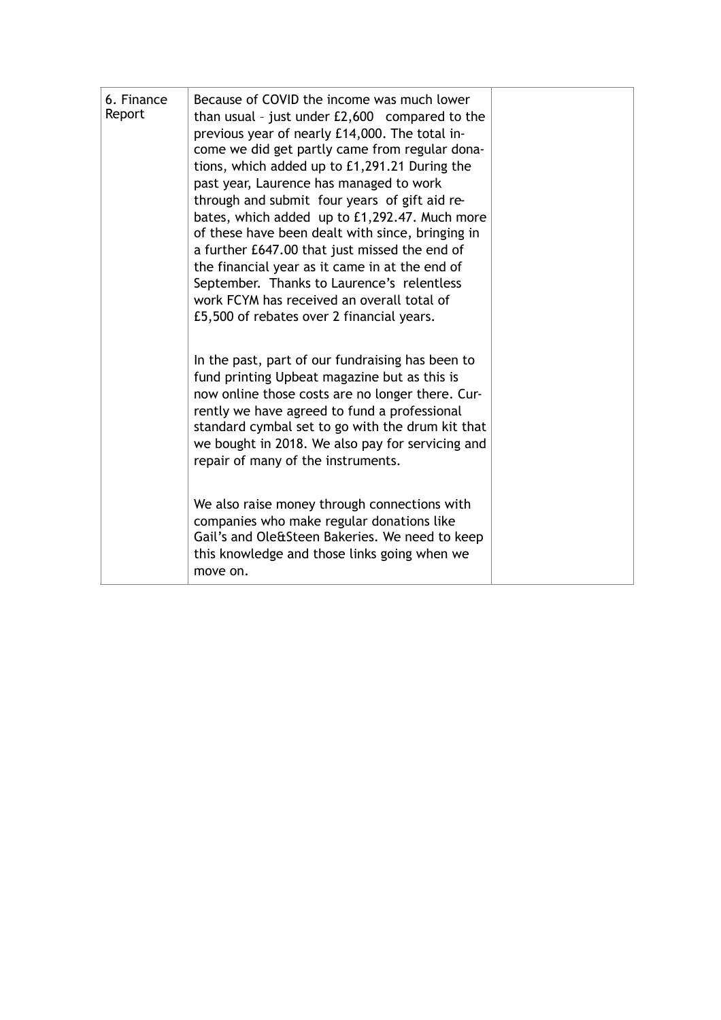| 6. Finance<br>Report | Because of COVID the income was much lower<br>than usual - just under $£2,600$ compared to the<br>previous year of nearly £14,000. The total in-<br>come we did get partly came from regular dona-<br>tions, which added up to £1,291.21 During the<br>past year, Laurence has managed to work<br>through and submit four years of gift aid re-<br>bates, which added up to £1,292.47. Much more<br>of these have been dealt with since, bringing in<br>a further £647.00 that just missed the end of<br>the financial year as it came in at the end of<br>September. Thanks to Laurence's relentless<br>work FCYM has received an overall total of<br>£5,500 of rebates over 2 financial years. |  |
|----------------------|--------------------------------------------------------------------------------------------------------------------------------------------------------------------------------------------------------------------------------------------------------------------------------------------------------------------------------------------------------------------------------------------------------------------------------------------------------------------------------------------------------------------------------------------------------------------------------------------------------------------------------------------------------------------------------------------------|--|
|                      | In the past, part of our fundraising has been to<br>fund printing Upbeat magazine but as this is<br>now online those costs are no longer there. Cur-<br>rently we have agreed to fund a professional<br>standard cymbal set to go with the drum kit that<br>we bought in 2018. We also pay for servicing and<br>repair of many of the instruments.<br>We also raise money through connections with<br>companies who make regular donations like<br>Gail's and Ole&Steen Bakeries. We need to keep<br>this knowledge and those links going when we<br>move on.                                                                                                                                    |  |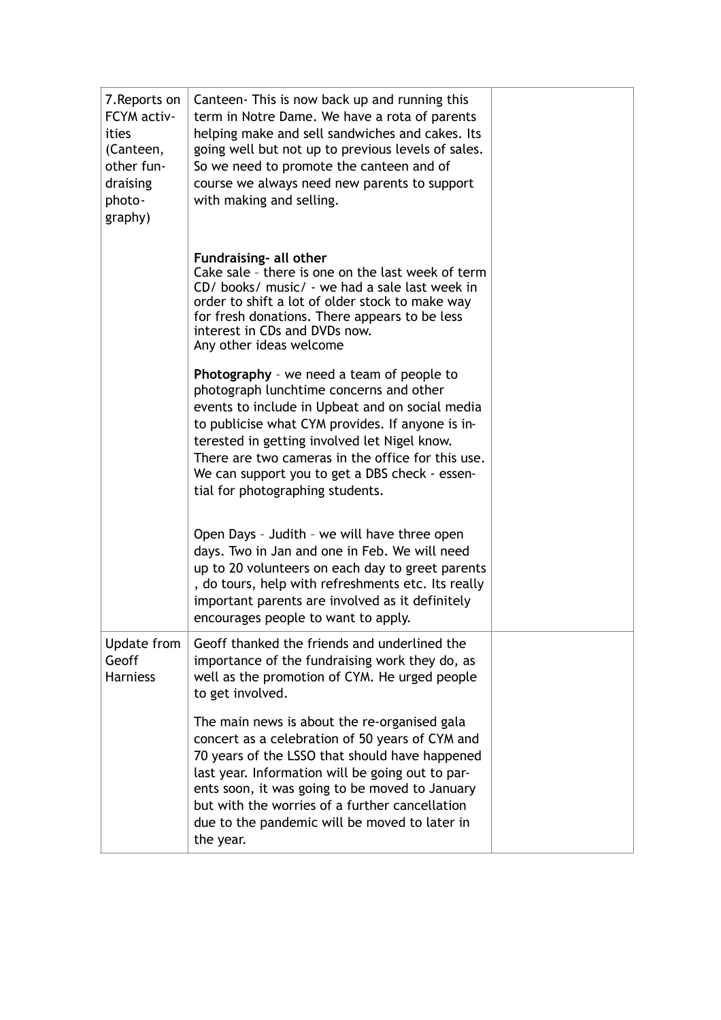| 7. Reports on<br>FCYM activ-<br>ities<br>(Canteen,<br>other fun-<br>draising<br>photo-<br>graphy) | Canteen- This is now back up and running this<br>term in Notre Dame. We have a rota of parents<br>helping make and sell sandwiches and cakes. Its<br>going well but not up to previous levels of sales.<br>So we need to promote the canteen and of<br>course we always need new parents to support<br>with making and selling.                                                        |  |
|---------------------------------------------------------------------------------------------------|----------------------------------------------------------------------------------------------------------------------------------------------------------------------------------------------------------------------------------------------------------------------------------------------------------------------------------------------------------------------------------------|--|
|                                                                                                   | Fundraising- all other<br>Cake sale - there is one on the last week of term<br>CD/ books/ music/ - we had a sale last week in<br>order to shift a lot of older stock to make way<br>for fresh donations. There appears to be less<br>interest in CDs and DVDs now.<br>Any other ideas welcome                                                                                          |  |
|                                                                                                   | Photography - we need a team of people to<br>photograph lunchtime concerns and other<br>events to include in Upbeat and on social media<br>to publicise what CYM provides. If anyone is in-<br>terested in getting involved let Nigel know.<br>There are two cameras in the office for this use.<br>We can support you to get a DBS check - essen-<br>tial for photographing students. |  |
|                                                                                                   | Open Days - Judith - we will have three open<br>days. Two in Jan and one in Feb. We will need<br>up to 20 volunteers on each day to greet parents<br>, do tours, help with refreshments etc. Its really<br>important parents are involved as it definitely<br>encourages people to want to apply.                                                                                      |  |
| Update from<br>Geoff<br><b>Harniess</b>                                                           | Geoff thanked the friends and underlined the<br>importance of the fundraising work they do, as<br>well as the promotion of CYM. He urged people<br>to get involved.                                                                                                                                                                                                                    |  |
|                                                                                                   | The main news is about the re-organised gala<br>concert as a celebration of 50 years of CYM and<br>70 years of the LSSO that should have happened<br>last year. Information will be going out to par-<br>ents soon, it was going to be moved to January<br>but with the worries of a further cancellation<br>due to the pandemic will be moved to later in<br>the year.                |  |